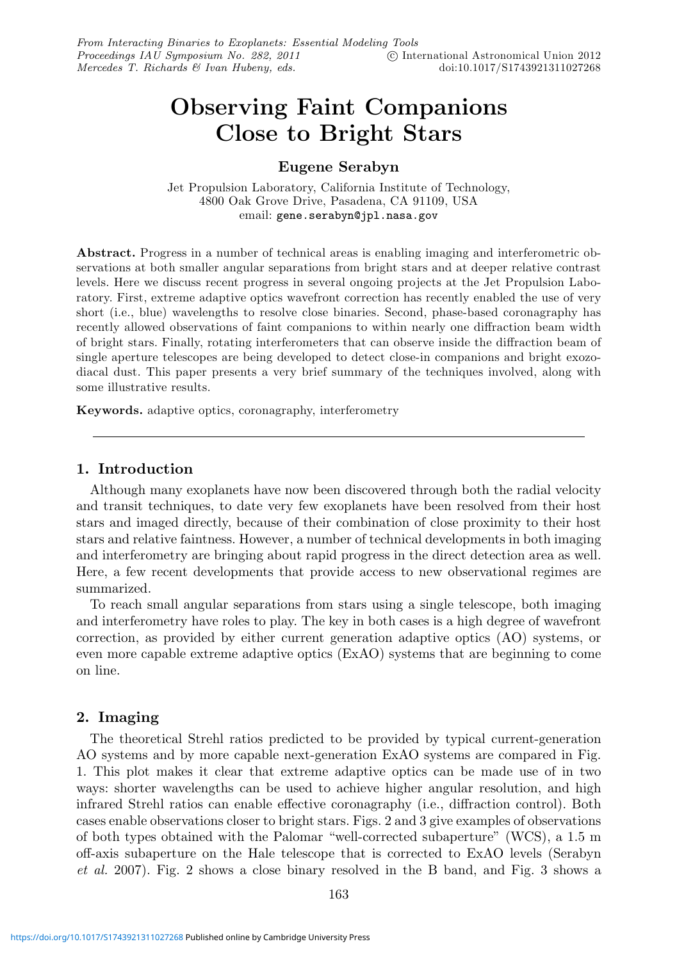# **Observing Faint Companions Close to Bright Stars**

# **Eugene Serabyn**

Jet Propulsion Laboratory, California Institute of Technology, 4800 Oak Grove Drive, Pasadena, CA 91109, USA email: gene.serabyn@jpl.nasa.gov

**Abstract.** Progress in a number of technical areas is enabling imaging and interferometric observations at both smaller angular separations from bright stars and at deeper relative contrast levels. Here we discuss recent progress in several ongoing projects at the Jet Propulsion Laboratory. First, extreme adaptive optics wavefront correction has recently enabled the use of very short (i.e., blue) wavelengths to resolve close binaries. Second, phase-based coronagraphy has recently allowed observations of faint companions to within nearly one diffraction beam width of bright stars. Finally, rotating interferometers that can observe inside the diffraction beam of single aperture telescopes are being developed to detect close-in companions and bright exozodiacal dust. This paper presents a very brief summary of the techniques involved, along with some illustrative results.

**Keywords.** adaptive optics, coronagraphy, interferometry

## **1. Introduction**

Although many exoplanets have now been discovered through both the radial velocity and transit techniques, to date very few exoplanets have been resolved from their host stars and imaged directly, because of their combination of close proximity to their host stars and relative faintness. However, a number of technical developments in both imaging and interferometry are bringing about rapid progress in the direct detection area as well. Here, a few recent developments that provide access to new observational regimes are summarized.

To reach small angular separations from stars using a single telescope, both imaging and interferometry have roles to play. The key in both cases is a high degree of wavefront correction, as provided by either current generation adaptive optics (AO) systems, or even more capable extreme adaptive optics (ExAO) systems that are beginning to come on line.

## **2. Imaging**

The theoretical Strehl ratios predicted to be provided by typical current-generation AO systems and by more capable next-generation ExAO systems are compared in Fig. 1. This plot makes it clear that extreme adaptive optics can be made use of in two ways: shorter wavelengths can be used to achieve higher angular resolution, and high infrared Strehl ratios can enable effective coronagraphy (i.e., diffraction control). Both cases enable observations closer to bright stars. Figs. 2 and 3 give examples of observations of both types obtained with the Palomar "well-corrected subaperture" (WCS), a 1.5 m off-axis subaperture on the Hale telescope that is corrected to ExAO levels (Serabyn et al. 2007). Fig. 2 shows a close binary resolved in the B band, and Fig. 3 shows a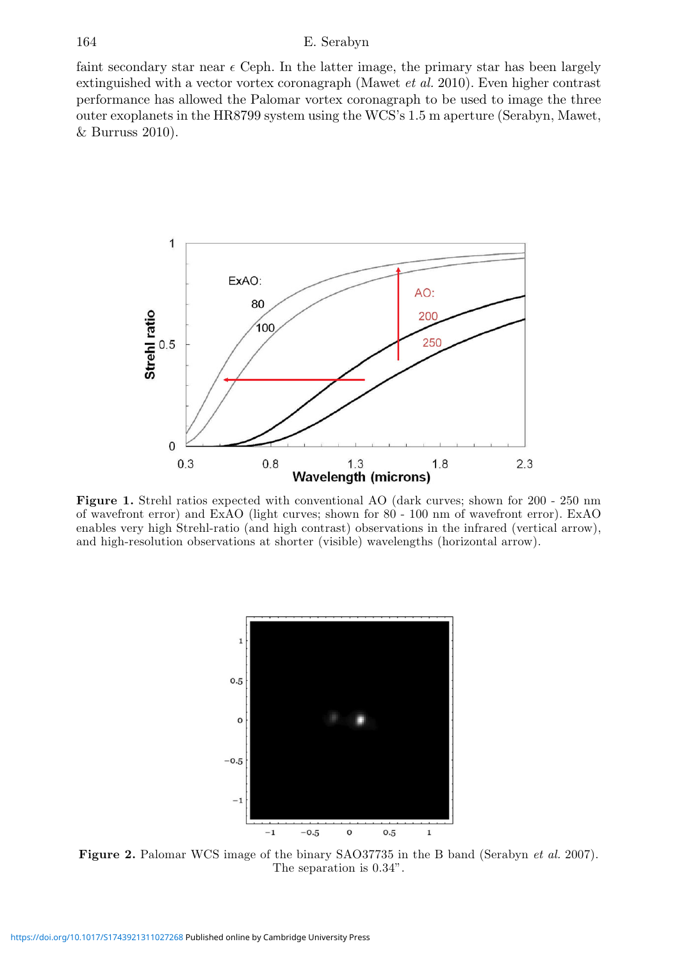#### 164 E. Serabyn

faint secondary star near  $\epsilon$  Ceph. In the latter image, the primary star has been largely extinguished with a vector vortex coronagraph (Mawet et al. 2010). Even higher contrast performance has allowed the Palomar vortex coronagraph to be used to image the three outer exoplanets in the HR8799 system using the WCS's 1.5 m aperture (Serabyn, Mawet, & Burruss 2010).



**Figure 1.** Strehl ratios expected with conventional AO (dark curves; shown for 200 - 250 nm of wavefront error) and ExAO (light curves; shown for 80 - 100 nm of wavefront error). ExAO enables very high Strehl-ratio (and high contrast) observations in the infrared (vertical arrow), and high-resolution observations at shorter (visible) wavelengths (horizontal arrow).



**Figure 2.** Palomar WCS image of the binary SAO37735 in the B band (Serabyn et al. 2007). The separation is 0.34".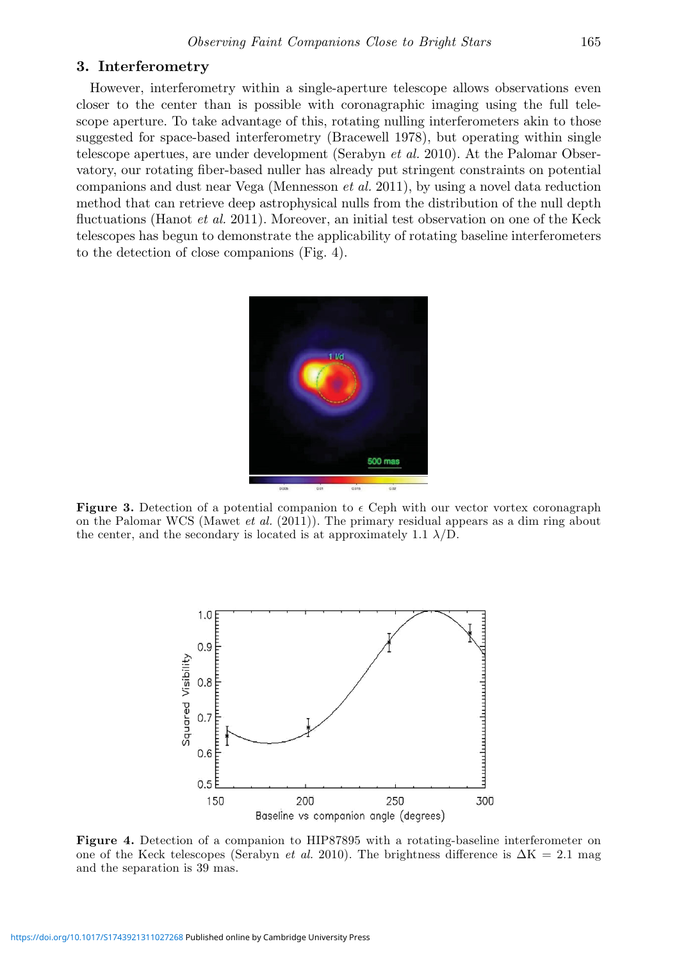### **3. Interferometry**

However, interferometry within a single-aperture telescope allows observations even closer to the center than is possible with coronagraphic imaging using the full telescope aperture. To take advantage of this, rotating nulling interferometers akin to those suggested for space-based interferometry (Bracewell 1978), but operating within single telescope apertues, are under development (Serabyn et al. 2010). At the Palomar Observatory, our rotating fiber-based nuller has already put stringent constraints on potential companions and dust near Vega (Mennesson et al. 2011), by using a novel data reduction method that can retrieve deep astrophysical nulls from the distribution of the null depth fluctuations (Hanot *et al.* 2011). Moreover, an initial test observation on one of the Keck telescopes has begun to demonstrate the applicability of rotating baseline interferometers to the detection of close companions (Fig. 4).



**Figure 3.** Detection of a potential companion to  $\epsilon$  Ceph with our vector vortex coronagraph on the Palomar WCS (Mawet et al. (2011)). The primary residual appears as a dim ring about the center, and the secondary is located is at approximately 1.1  $\lambda/D$ .



**Figure 4.** Detection of a companion to HIP87895 with a rotating-baseline interferometer on one of the Keck telescopes (Serabyn *et al.* 2010). The brightness difference is  $\Delta K = 2.1$  mag and the separation is 39 mas.